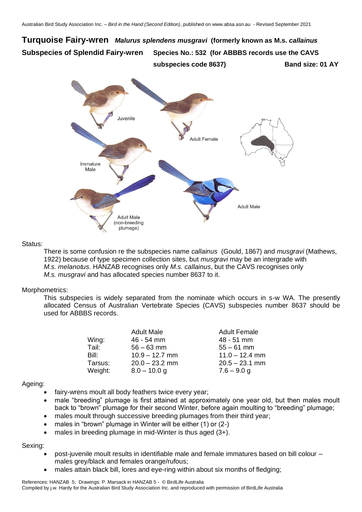# **Turquoise Fairy-wren** *Malurus splendens musgravi* **(formerly known as M.s.** *callainus* **Subspecies of Splendid Fairy-wren Species No.: 532 (for ABBBS records use the CAVS subspecies code 8637) Band size: 01 AY**



## Status:

There is some confusion re the subspecies name *callainus* (Gould, 1867) and *musgravi* (Mathews, 1922) because of type specimen collection sites, but *musgravi* may be an intergrade with *M.s. melanotus*. HANZAB recognises only *M.s. callainus*, but the CAVS recognises only *M.s. musgravi* and has allocated species number 8637 to it.

## Morphometrics:

This subspecies is widely separated from the nominate which occurs in s-w WA. The presently allocated Census of Australian Vertebrate Species (CAVS) subspecies number 8637 should be used for ABBBS records.

|         | <b>Adult Male</b> | <b>Adult Female</b> |
|---------|-------------------|---------------------|
| Wing:   | 46 - 54 mm        | 48 - 51 mm          |
| Tail:   | $56 - 63$ mm      | $55 - 61$ mm        |
| Bill:   | $10.9 - 12.7$ mm  | $11.0 - 12.4$ mm    |
| Tarsus: | $20.0 - 23.2$ mm  | $20.5 - 23.1$ mm    |
| Weight: | $8.0 - 10.0$ g    | $7.6 - 9.0$ g       |

## Ageing:

- fairy-wrens moult all body feathers twice every year;
- male "breeding" plumage is first attained at approximately one year old, but then males moult back to "brown" plumage for their second Winter, before again moulting to "breeding" plumage;
- males moult through successive breeding plumages from their third year;
- males in "brown" plumage in Winter will be either (1) or (2-)
- males in breeding plumage in mid-Winter is thus aged  $(3+)$ .

## Sexing:

- post-juvenile moult results in identifiable male and female immatures based on bill colour males grey/black and females orange/rufous;
- males attain black bill, lores and eye-ring within about six months of fledging;